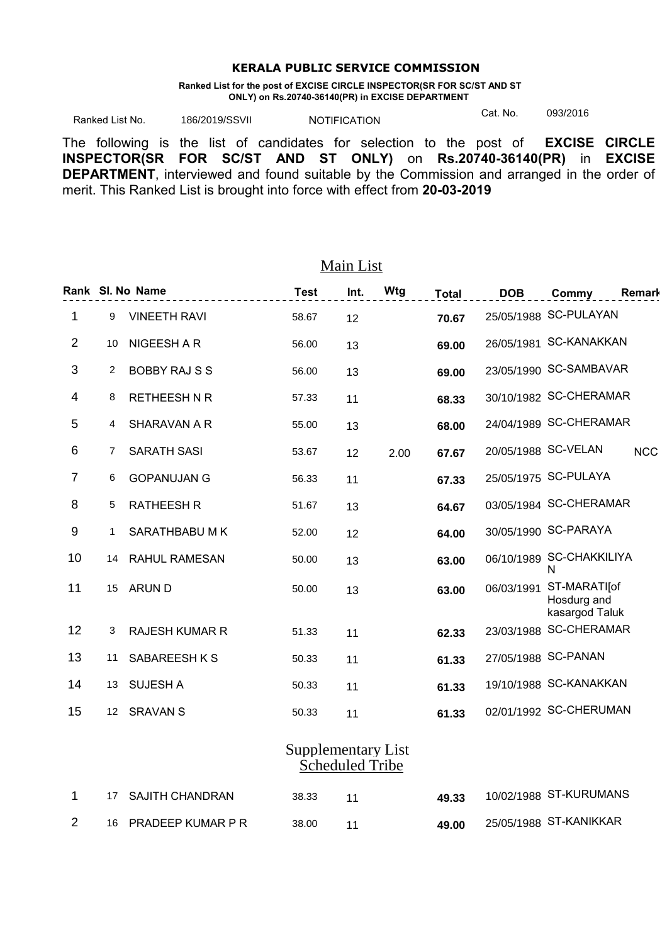## **KERALA PUBLIC SERVICE COMMISSION**

 **Ranked List for the post of EXCISE CIRCLE INSPECTOR(SR FOR SC/ST AND ST ONLY) on Rs.20740-36140(PR) in EXCISE DEPARTMENT**

Ranked List No. 486/2019/SSVII NOTIFICATION Cat. No. 093/2016 NOTIFICATION

The following is the list of candidates for selection to the post of **EXCISE CIRCLE INSPECTOR(SR FOR SC/ST AND ST ONLY)** on **Rs.20740-36140(PR)** in **EXCISE DEPARTMENT**, interviewed and found suitable by the Commission and arranged in the order of merit. This Ranked List is brought into force with effect from **20-03-2019**

| Main List          |                |                       |             |      |      |              |            |                                               |            |  |
|--------------------|----------------|-----------------------|-------------|------|------|--------------|------------|-----------------------------------------------|------------|--|
|                    |                | Rank SI. No Name      | <b>Test</b> | Int. | Wtg  | <b>Total</b> | <b>DOB</b> | Commy                                         | Remarl     |  |
| 1                  | 9              | <b>VINEETH RAVI</b>   | 58.67       | 12   |      | 70.67        |            | 25/05/1988 SC-PULAYAN                         |            |  |
| $\overline{2}$     | 10             | NIGEESH A R           | 56.00       | 13   |      | 69.00        |            | 26/05/1981 SC-KANAKKAN                        |            |  |
| 3                  | 2              | <b>BOBBY RAJ S S</b>  | 56.00       | 13   |      | 69.00        |            | 23/05/1990 SC-SAMBAVAR                        |            |  |
| 4                  | 8              | <b>RETHEESH N R</b>   | 57.33       | 11   |      | 68.33        |            | 30/10/1982 SC-CHERAMAR                        |            |  |
| 5                  | 4              | SHARAVAN A R          | 55.00       | 13   |      | 68.00        |            | 24/04/1989 SC-CHERAMAR                        |            |  |
| $6\phantom{1}6$    | $\overline{7}$ | <b>SARATH SASI</b>    | 53.67       | 12   | 2.00 | 67.67        |            | 20/05/1988 SC-VELAN                           | <b>NCC</b> |  |
| $\overline{7}$     | 6              | <b>GOPANUJAN G</b>    | 56.33       | 11   |      | 67.33        |            | 25/05/1975 SC-PULAYA                          |            |  |
| 8                  | 5              | <b>RATHEESH R</b>     | 51.67       | 13   |      | 64.67        |            | 03/05/1984 SC-CHERAMAR                        |            |  |
| $9\,$              | 1              | SARATHBABU MK         | 52.00       | 12   |      | 64.00        |            | 30/05/1990 SC-PARAYA                          |            |  |
| 10                 | 14             | <b>RAHUL RAMESAN</b>  | 50.00       | 13   |      | 63.00        |            | 06/10/1989 SC-CHAKKILIYA<br>N                 |            |  |
| 11                 | 15             | <b>ARUND</b>          | 50.00       | 13   |      | 63.00        | 06/03/1991 | ST-MARATI[of<br>Hosdurg and<br>kasargod Taluk |            |  |
| 12                 | 3              | <b>RAJESH KUMAR R</b> | 51.33       | 11   |      | 62.33        |            | 23/03/1988 SC-CHERAMAR                        |            |  |
| 13                 | 11             | SABAREESH K S         | 50.33       | 11   |      | 61.33        |            | 27/05/1988 SC-PANAN                           |            |  |
| 14                 | 13             | <b>SUJESH A</b>       | 50.33       | 11   |      | 61.33        |            | 19/10/1988 SC-KANAKKAN                        |            |  |
| 15                 | 12             | <b>SRAVAN S</b>       | 50.33       | 11   |      | 61.33        |            | 02/01/1992 SC-CHERUMAN                        |            |  |
| Supplementary List |                |                       |             |      |      |              |            |                                               |            |  |

Scheduled Tribe

|  | 17 SAJITH CHANDRAN   | 38.33 | 11 | 49.33 | 10/02/1988 ST-KURUMANS |
|--|----------------------|-------|----|-------|------------------------|
|  | 16 PRADEEP KUMAR P R | 38.00 | 11 | 49.00 | 25/05/1988 ST-KANIKKAR |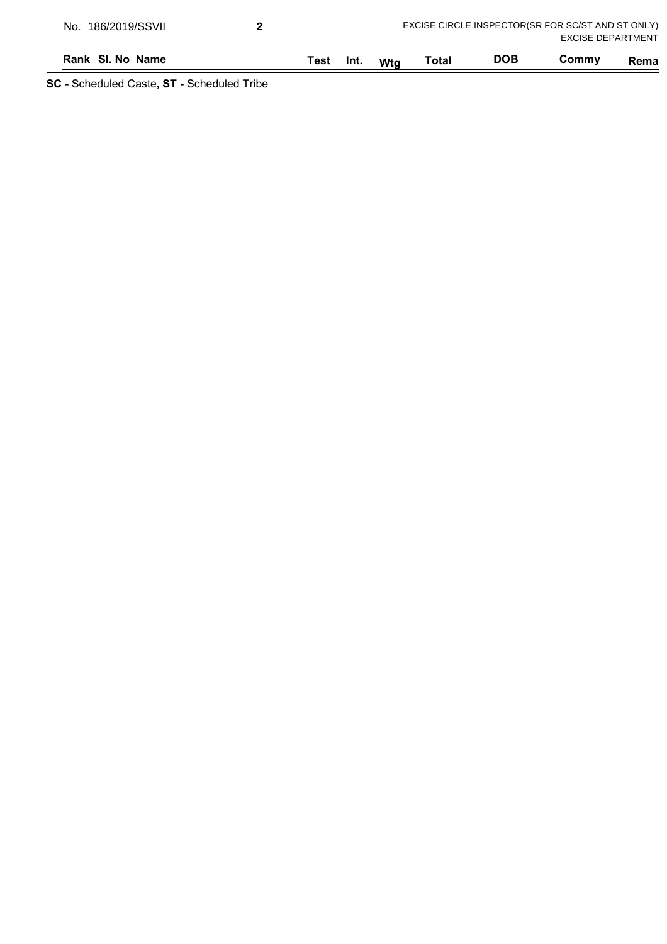| Rank SI, No Name<br>$\bullet$ $\bullet$ . In the state $\bullet$ $\bullet$ $\bullet$ $\bullet$ $\bullet$ $\bullet$ $\bullet$ is the state $\bullet$ . Then if $\bullet$ | Test                                              | Int.                     | Wta | Total | <b>DOB</b> | Commy | Rema |  |
|-------------------------------------------------------------------------------------------------------------------------------------------------------------------------|---------------------------------------------------|--------------------------|-----|-------|------------|-------|------|--|
|                                                                                                                                                                         |                                                   | <b>EXCISE DEPARTMENT</b> |     |       |            |       |      |  |
| 186/2019/SSVII<br>No.                                                                                                                                                   | EXCISE CIRCLE INSPECTOR(SR FOR SC/ST AND ST ONLY) |                          |     |       |            |       |      |  |

**SC -** Scheduled Caste**, ST -** Scheduled Tribe